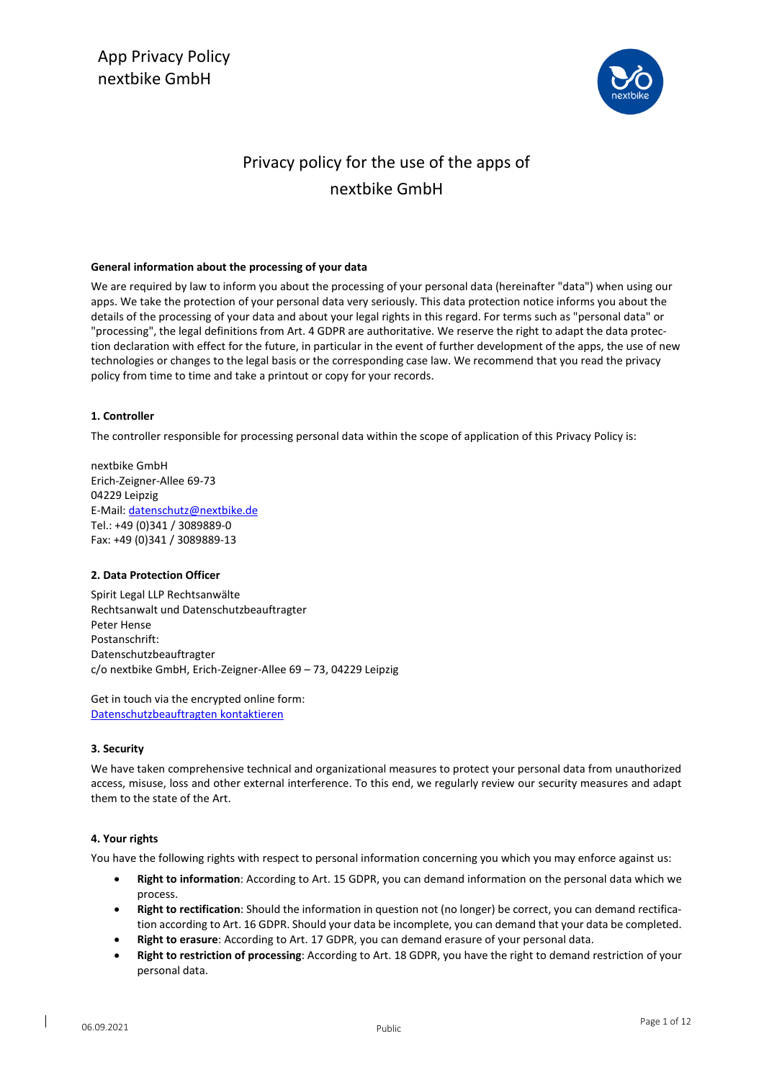

# Privacy policy for the use of the apps of nextbike GmbH

# **General information about the processing of your data**

We are required by law to inform you about the processing of your personal data (hereinafter "data") when using our apps. We take the protection of your personal data very seriously. This data protection notice informs you about the details of the processing of your data and about your legal rights in this regard. For terms such as "personal data" or "processing", the legal definitions from Art. 4 GDPR are authoritative. We reserve the right to adapt the data protection declaration with effect for the future, in particular in the event of further development of the apps, the use of new technologies or changes to the legal basis or the corresponding case law. We recommend that you read the privacy policy from time to time and take a printout or copy for your records.

# **1. Controller**

The controller responsible for processing personal data within the scope of application of this Privacy Policy is:

nextbike GmbH Erich-Zeigner-Allee 69-73 04229 Leipzig E-Mail[: datenschutz@nextbike.de](mailto:datenschutz@nextbike.de) Tel.: +49 (0)341 / 3089889-0 Fax: +49 (0)341 / 3089889-13

# **2. Data Protection Officer**

Spirit Legal LLP Rechtsanwälte Rechtsanwalt und Datenschutzbeauftragter Peter Hense Postanschrift: Datenschutzbeauftragter c/o nextbike GmbH, Erich-Zeigner-Allee 69 – 73, 04229 Leipzig

Get in touch via the encrypted online form: [Datenschutzbeauftragten kontaktieren](https://www.spiritlegal.com/de/datenschutzbeauftragter-anfragen.html)

# **3. Security**

We have taken comprehensive technical and organizational measures to protect your personal data from unauthorized access, misuse, loss and other external interference. To this end, we regularly review our security measures and adapt them to the state of the Art.

#### **4. Your rights**

You have the following rights with respect to personal information concerning you which you may enforce against us:

- **Right to information**: According to Art. 15 GDPR, you can demand information on the personal data which we process.
- **Right to rectification**: Should the information in question not (no longer) be correct, you can demand rectification according to Art. 16 GDPR. Should your data be incomplete, you can demand that your data be completed.
- **Right to erasure**: According to Art. 17 GDPR, you can demand erasure of your personal data.
- **Right to restriction of processing**: According to Art. 18 GDPR, you have the right to demand restriction of your personal data.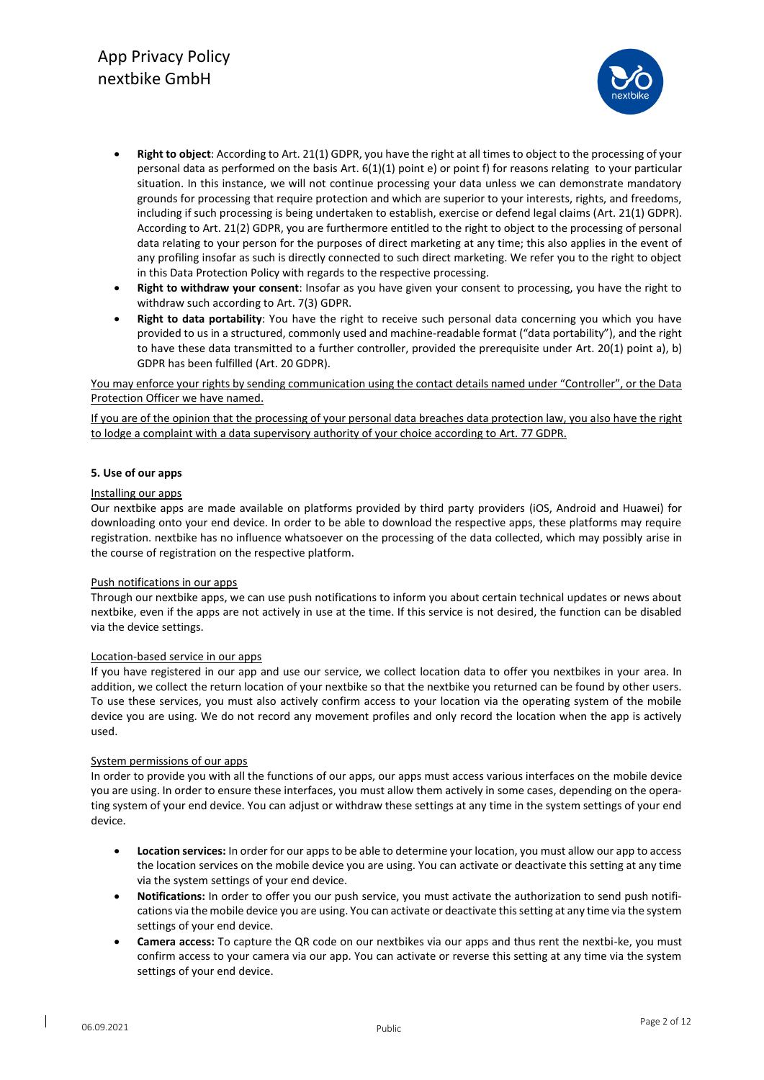

- **Right to object**: According to Art. 21(1) GDPR, you have the right at all times to object to the processing of your personal data as performed on the basis Art. 6(1)(1) point e) or point f) for reasons relating to your particular situation. In this instance, we will not continue processing your data unless we can demonstrate mandatory grounds for processing that require protection and which are superior to your interests, rights, and freedoms, including if such processing is being undertaken to establish, exercise or defend legal claims (Art. 21(1) GDPR). According to Art. 21(2) GDPR, you are furthermore entitled to the right to object to the processing of personal data relating to your person for the purposes of direct marketing at any time; this also applies in the event of any profiling insofar as such is directly connected to such direct marketing. We refer you to the right to object in this Data Protection Policy with regards to the respective processing.
- **Right to withdraw your consent**: Insofar as you have given your consent to processing, you have the right to withdraw such according to Art. 7(3) GDPR.
- **Right to data portability**: You have the right to receive such personal data concerning you which you have provided to us in a structured, commonly used and machine-readable format ("data portability"), and the right to have these data transmitted to a further controller, provided the prerequisite under Art. 20(1) point a), b) GDPR has been fulfilled (Art. 20 GDPR).

You may enforce your rights by sending communication using the contact details named under "Controller", or the Data Protection Officer we have named.

If you are of the opinion that the processing of your personal data breaches data protection law, you also have the right to lodge a complaint with a data supervisory authority of your choice according to Art. 77 GDPR.

#### **5. Use of our apps**

#### Installing our apps

Our nextbike apps are made available on platforms provided by third party providers (iOS, Android and Huawei) for downloading onto your end device. In order to be able to download the respective apps, these platforms may require registration. nextbike has no influence whatsoever on the processing of the data collected, which may possibly arise in the course of registration on the respective platform.

#### Push notifications in our apps

Through our nextbike apps, we can use push notifications to inform you about certain technical updates or news about nextbike, even if the apps are not actively in use at the time. If this service is not desired, the function can be disabled via the device settings.

#### Location-based service in our apps

If you have registered in our app and use our service, we collect location data to offer you nextbikes in your area. In addition, we collect the return location of your nextbike so that the nextbike you returned can be found by other users. To use these services, you must also actively confirm access to your location via the operating system of the mobile device you are using. We do not record any movement profiles and only record the location when the app is actively used.

#### System permissions of our apps

In order to provide you with all the functions of our apps, our apps must access various interfaces on the mobile device you are using. In order to ensure these interfaces, you must allow them actively in some cases, depending on the operating system of your end device. You can adjust or withdraw these settings at any time in the system settings of your end device.

- **Location services:** In order for our apps to be able to determine your location, you must allow our app to access the location services on the mobile device you are using. You can activate or deactivate this setting at any time via the system settings of your end device.
- **Notifications:** In order to offer you our push service, you must activate the authorization to send push notifications via the mobile device you are using. You can activate or deactivate this setting at any time via the system settings of your end device.
- **Camera access:** To capture the QR code on our nextbikes via our apps and thus rent the nextbi-ke, you must confirm access to your camera via our app. You can activate or reverse this setting at any time via the system settings of your end device.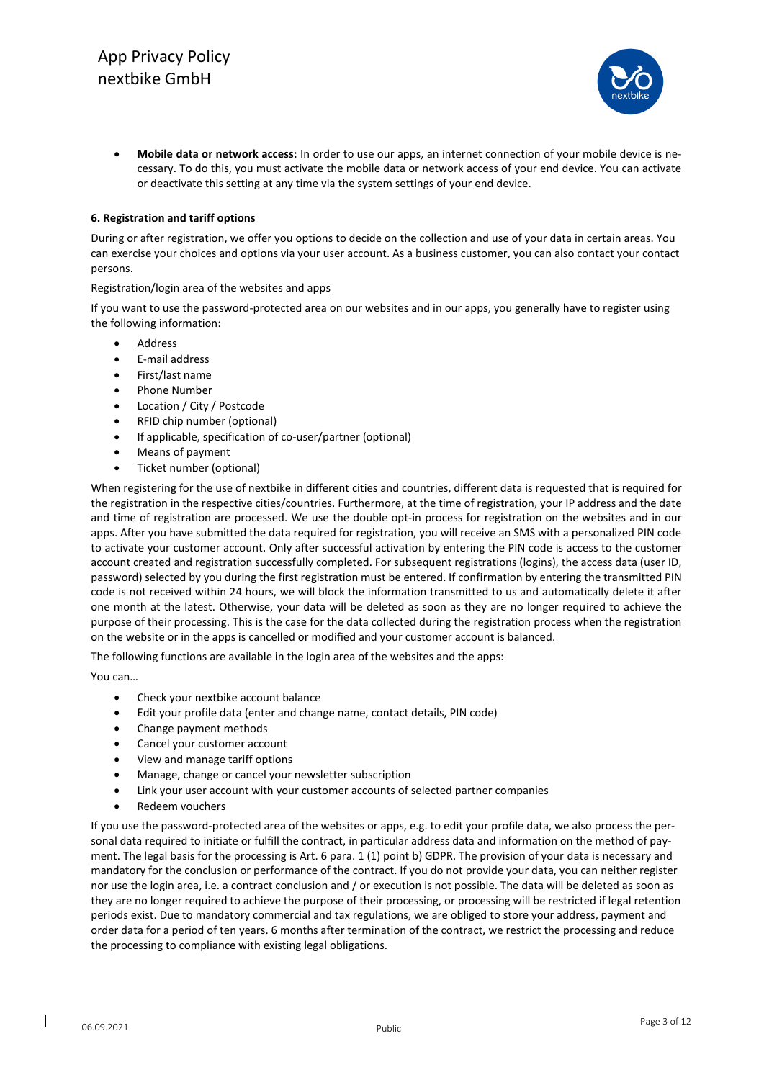

• **Mobile data or network access:** In order to use our apps, an internet connection of your mobile device is necessary. To do this, you must activate the mobile data or network access of your end device. You can activate or deactivate this setting at any time via the system settings of your end device.

# **6. Registration and tariff options**

During or after registration, we offer you options to decide on the collection and use of your data in certain areas. You can exercise your choices and options via your user account. As a business customer, you can also contact your contact persons.

#### Registration/login area of the websites and apps

If you want to use the password-protected area on our websites and in our apps, you generally have to register using the following information:

- **Address**
- E-mail address
- First/last name
- Phone Number
- Location / City / Postcode
- RFID chip number (optional)
- If applicable, specification of co-user/partner (optional)
- Means of payment
- Ticket number (optional)

When registering for the use of nextbike in different cities and countries, different data is requested that is required for the registration in the respective cities/countries. Furthermore, at the time of registration, your IP address and the date and time of registration are processed. We use the double opt-in process for registration on the websites and in our apps. After you have submitted the data required for registration, you will receive an SMS with a personalized PIN code to activate your customer account. Only after successful activation by entering the PIN code is access to the customer account created and registration successfully completed. For subsequent registrations (logins), the access data (user ID, password) selected by you during the first registration must be entered. If confirmation by entering the transmitted PIN code is not received within 24 hours, we will block the information transmitted to us and automatically delete it after one month at the latest. Otherwise, your data will be deleted as soon as they are no longer required to achieve the purpose of their processing. This is the case for the data collected during the registration process when the registration on the website or in the apps is cancelled or modified and your customer account is balanced.

The following functions are available in the login area of the websites and the apps:

You can…

- Check your nextbike account balance
- Edit your profile data (enter and change name, contact details, PIN code)
- Change payment methods
- Cancel your customer account
- View and manage tariff options
- Manage, change or cancel your newsletter subscription
- Link your user account with your customer accounts of selected partner companies
- Redeem vouchers

If you use the password-protected area of the websites or apps, e.g. to edit your profile data, we also process the personal data required to initiate or fulfill the contract, in particular address data and information on the method of payment. The legal basis for the processing is Art. 6 para. 1 (1) point b) GDPR. The provision of your data is necessary and mandatory for the conclusion or performance of the contract. If you do not provide your data, you can neither register nor use the login area, i.e. a contract conclusion and / or execution is not possible. The data will be deleted as soon as they are no longer required to achieve the purpose of their processing, or processing will be restricted if legal retention periods exist. Due to mandatory commercial and tax regulations, we are obliged to store your address, payment and order data for a period of ten years. 6 months after termination of the contract, we restrict the processing and reduce the processing to compliance with existing legal obligations.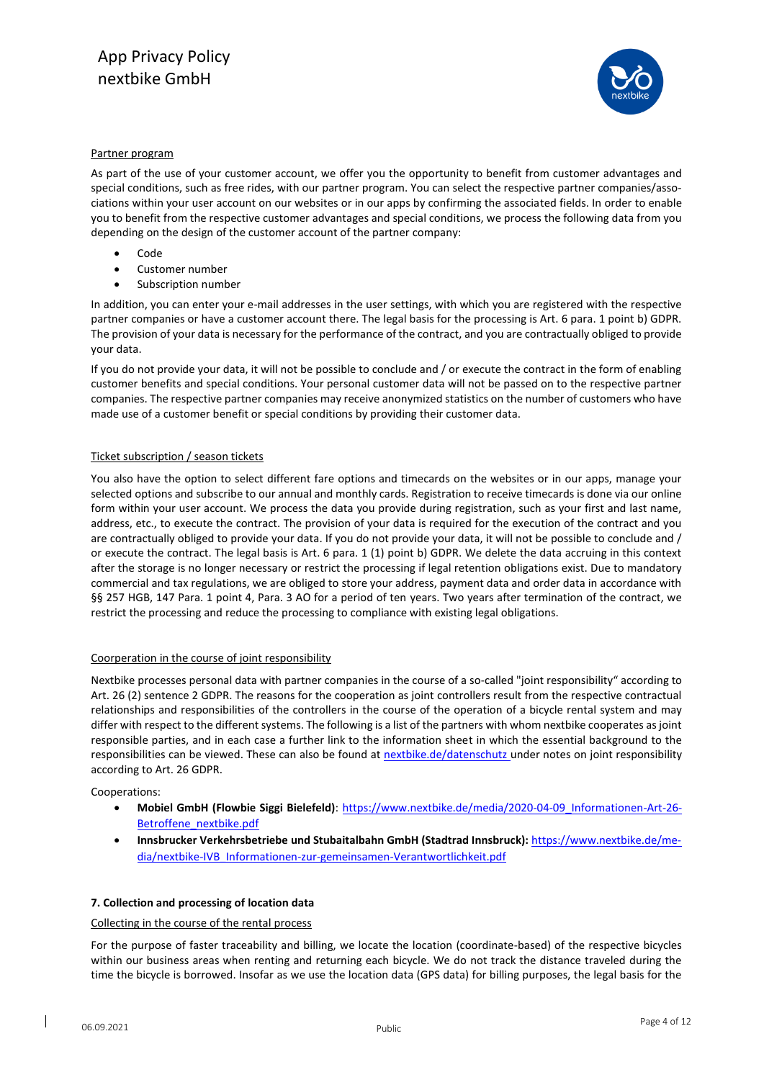

#### Partner program

As part of the use of your customer account, we offer you the opportunity to benefit from customer advantages and special conditions, such as free rides, with our partner program. You can select the respective partner companies/associations within your user account on our websites or in our apps by confirming the associated fields. In order to enable you to benefit from the respective customer advantages and special conditions, we process the following data from you depending on the design of the customer account of the partner company:

- Code
- Customer number
- Subscription number

In addition, you can enter your e-mail addresses in the user settings, with which you are registered with the respective partner companies or have a customer account there. The legal basis for the processing is Art. 6 para. 1 point b) GDPR. The provision of your data is necessary for the performance of the contract, and you are contractually obliged to provide your data.

If you do not provide your data, it will not be possible to conclude and / or execute the contract in the form of enabling customer benefits and special conditions. Your personal customer data will not be passed on to the respective partner companies. The respective partner companies may receive anonymized statistics on the number of customers who have made use of a customer benefit or special conditions by providing their customer data.

# Ticket subscription / season tickets

You also have the option to select different fare options and timecards on the websites or in our apps, manage your selected options and subscribe to our annual and monthly cards. Registration to receive timecards is done via our online form within your user account. We process the data you provide during registration, such as your first and last name, address, etc., to execute the contract. The provision of your data is required for the execution of the contract and you are contractually obliged to provide your data. If you do not provide your data, it will not be possible to conclude and / or execute the contract. The legal basis is Art. 6 para. 1 (1) point b) GDPR. We delete the data accruing in this context after the storage is no longer necessary or restrict the processing if legal retention obligations exist. Due to mandatory commercial and tax regulations, we are obliged to store your address, payment data and order data in accordance with §§ 257 HGB, 147 Para. 1 point 4, Para. 3 AO for a period of ten years. Two years after termination of the contract, we restrict the processing and reduce the processing to compliance with existing legal obligations.

#### Coorperation in the course of joint responsibility

Nextbike processes personal data with partner companies in the course of a so-called "joint responsibility" according to Art. 26 (2) sentence 2 GDPR. The reasons for the cooperation as joint controllers result from the respective contractual relationships and responsibilities of the controllers in the course of the operation of a bicycle rental system and may differ with respect to the different systems. The following is a list of the partners with whom nextbike cooperates as joint responsible parties, and in each case a further link to the information sheet in which the essential background to the responsibilities can be viewed. These can also be found at [nextbike.de/datenschutz](file:///C:/Users/pteitge/Desktop/Datenschutz/Datenschutzrichtlinien/nextbike.de/datenschutz) under notes on joint responsibility according to Art. 26 GDPR.

Cooperations:

- **Mobiel GmbH (Flowbie Siggi Bielefeld)**: [https://www.nextbike.de/media/2020-04-09\\_Informationen-Art-26-](https://www.nextbike.de/media/2020-04-09_Informationen-Art-26-Betroffene_nextbike.pdf) Betroffene nextbike.pdf
- **Innsbrucker Verkehrsbetriebe und Stubaitalbahn GmbH (Stadtrad Innsbruck):** https://www.nextbike.de/media/nextbike-IVB\_Informationen-zur-gemeinsamen-Verantwortlichkeit.pdf

#### **7. Collection and processing of location data**

#### Collecting in the course of the rental process

For the purpose of faster traceability and billing, we locate the location (coordinate-based) of the respective bicycles within our business areas when renting and returning each bicycle. We do not track the distance traveled during the time the bicycle is borrowed. Insofar as we use the location data (GPS data) for billing purposes, the legal basis for the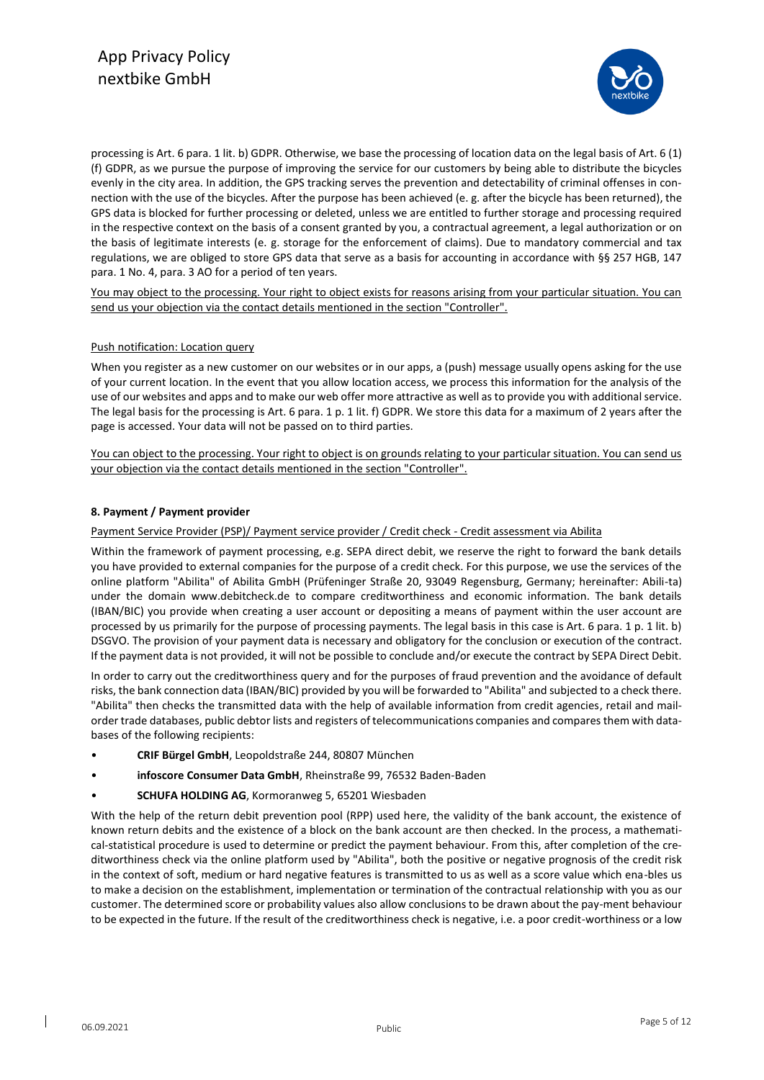

processing is Art. 6 para. 1 lit. b) GDPR. Otherwise, we base the processing of location data on the legal basis of Art. 6 (1) (f) GDPR, as we pursue the purpose of improving the service for our customers by being able to distribute the bicycles evenly in the city area. In addition, the GPS tracking serves the prevention and detectability of criminal offenses in connection with the use of the bicycles. After the purpose has been achieved (e. g. after the bicycle has been returned), the GPS data is blocked for further processing or deleted, unless we are entitled to further storage and processing required in the respective context on the basis of a consent granted by you, a contractual agreement, a legal authorization or on the basis of legitimate interests (e. g. storage for the enforcement of claims). Due to mandatory commercial and tax regulations, we are obliged to store GPS data that serve as a basis for accounting in accordance with §§ 257 HGB, 147 para. 1 No. 4, para. 3 AO for a period of ten years.

You may object to the processing. Your right to object exists for reasons arising from your particular situation. You can send us your objection via the contact details mentioned in the section "Controller".

# Push notification: Location query

When you register as a new customer on our websites or in our apps, a (push) message usually opens asking for the use of your current location. In the event that you allow location access, we process this information for the analysis of the use of our websites and apps and to make our web offer more attractive as well as to provide you with additional service. The legal basis for the processing is Art. 6 para. 1 p. 1 lit. f) GDPR. We store this data for a maximum of 2 years after the page is accessed. Your data will not be passed on to third parties.

You can object to the processing. Your right to object is on grounds relating to your particular situation. You can send us your objection via the contact details mentioned in the section "Controller".

# **8. Payment / Payment provider**

#### Payment Service Provider (PSP)/ Payment service provider / Credit check - Credit assessment via Abilita

Within the framework of payment processing, e.g. SEPA direct debit, we reserve the right to forward the bank details you have provided to external companies for the purpose of a credit check. For this purpose, we use the services of the online platform "Abilita" of Abilita GmbH (Prüfeninger Straße 20, 93049 Regensburg, Germany; hereinafter: Abili-ta) under the domain www.debitcheck.de to compare creditworthiness and economic information. The bank details (IBAN/BIC) you provide when creating a user account or depositing a means of payment within the user account are processed by us primarily for the purpose of processing payments. The legal basis in this case is Art. 6 para. 1 p. 1 lit. b) DSGVO. The provision of your payment data is necessary and obligatory for the conclusion or execution of the contract. If the payment data is not provided, it will not be possible to conclude and/or execute the contract by SEPA Direct Debit.

In order to carry out the creditworthiness query and for the purposes of fraud prevention and the avoidance of default risks, the bank connection data (IBAN/BIC) provided by you will be forwarded to "Abilita" and subjected to a check there. "Abilita" then checks the transmitted data with the help of available information from credit agencies, retail and mailorder trade databases, public debtor lists and registers of telecommunications companies and compares them with databases of the following recipients:

- **CRIF Bürgel GmbH**, Leopoldstraße 244, 80807 München
- **infoscore Consumer Data GmbH**, Rheinstraße 99, 76532 Baden-Baden
- **SCHUFA HOLDING AG**, Kormoranweg 5, 65201 Wiesbaden

With the help of the return debit prevention pool (RPP) used here, the validity of the bank account, the existence of known return debits and the existence of a block on the bank account are then checked. In the process, a mathematical-statistical procedure is used to determine or predict the payment behaviour. From this, after completion of the creditworthiness check via the online platform used by "Abilita", both the positive or negative prognosis of the credit risk in the context of soft, medium or hard negative features is transmitted to us as well as a score value which ena-bles us to make a decision on the establishment, implementation or termination of the contractual relationship with you as our customer. The determined score or probability values also allow conclusions to be drawn about the pay-ment behaviour to be expected in the future. If the result of the creditworthiness check is negative, i.e. a poor credit-worthiness or a low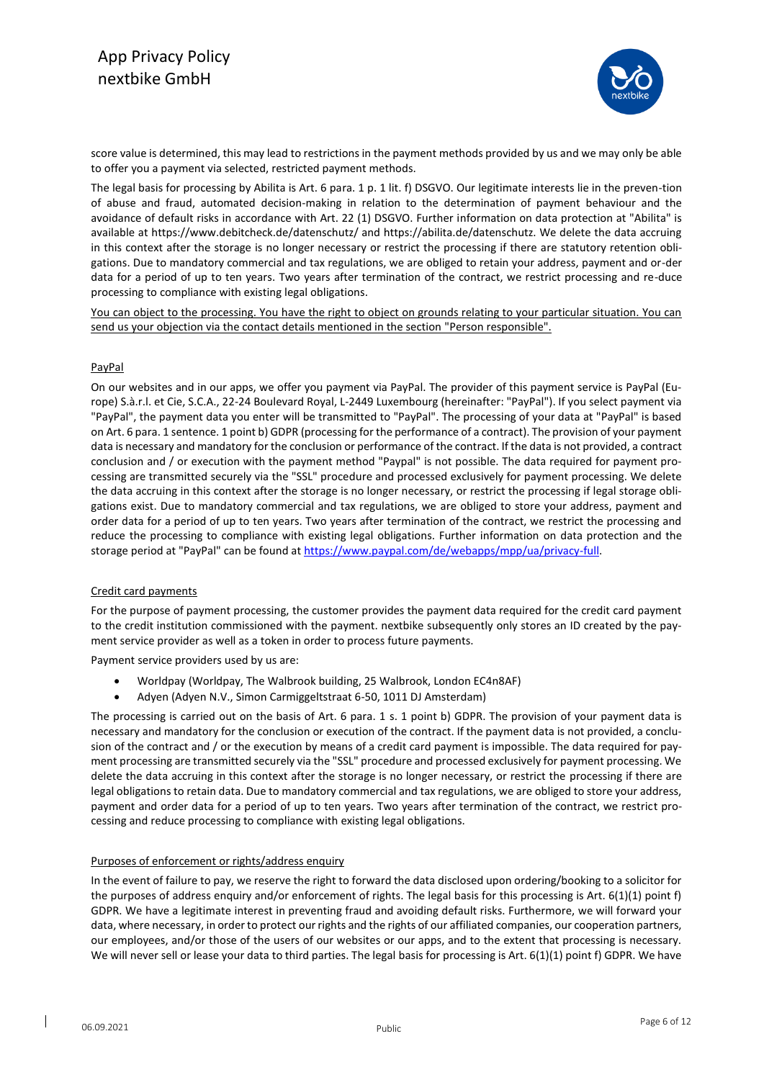

score value is determined, this may lead to restrictions in the payment methods provided by us and we may only be able to offer you a payment via selected, restricted payment methods.

The legal basis for processing by Abilita is Art. 6 para. 1 p. 1 lit. f) DSGVO. Our legitimate interests lie in the preven-tion of abuse and fraud, automated decision-making in relation to the determination of payment behaviour and the avoidance of default risks in accordance with Art. 22 (1) DSGVO. Further information on data protection at "Abilita" is available at https://www.debitcheck.de/datenschutz/ and https://abilita.de/datenschutz. We delete the data accruing in this context after the storage is no longer necessary or restrict the processing if there are statutory retention obligations. Due to mandatory commercial and tax regulations, we are obliged to retain your address, payment and or-der data for a period of up to ten years. Two years after termination of the contract, we restrict processing and re-duce processing to compliance with existing legal obligations.

You can object to the processing. You have the right to object on grounds relating to your particular situation. You can send us your objection via the contact details mentioned in the section "Person responsible".

# PayPal

On our websites and in our apps, we offer you payment via PayPal. The provider of this payment service is PayPal (Europe) S.à.r.l. et Cie, S.C.A., 22-24 Boulevard Royal, L-2449 Luxembourg (hereinafter: "PayPal"). If you select payment via "PayPal", the payment data you enter will be transmitted to "PayPal". The processing of your data at "PayPal" is based on Art. 6 para. 1 sentence. 1 point b) GDPR (processing for the performance of a contract). The provision of your payment data is necessary and mandatory for the conclusion or performance of the contract. If the data is not provided, a contract conclusion and / or execution with the payment method "Paypal" is not possible. The data required for payment processing are transmitted securely via the "SSL" procedure and processed exclusively for payment processing. We delete the data accruing in this context after the storage is no longer necessary, or restrict the processing if legal storage obligations exist. Due to mandatory commercial and tax regulations, we are obliged to store your address, payment and order data for a period of up to ten years. Two years after termination of the contract, we restrict the processing and reduce the processing to compliance with existing legal obligations. Further information on data protection and the storage period at "PayPal" can be found at [https://www.paypal.com/de/webapps/mpp/ua/privacy-full.](https://www.paypal.com/de/webapps/mpp/ua/privacy-full)

# Credit card payments

For the purpose of payment processing, the customer provides the payment data required for the credit card payment to the credit institution commissioned with the payment. nextbike subsequently only stores an ID created by the payment service provider as well as a token in order to process future payments.

Payment service providers used by us are:

- Worldpay (Worldpay, The Walbrook building, 25 Walbrook, London EC4n8AF)
- Adyen (Adyen N.V., Simon Carmiggeltstraat 6-50, 1011 DJ Amsterdam)

The processing is carried out on the basis of Art. 6 para. 1 s. 1 point b) GDPR. The provision of your payment data is necessary and mandatory for the conclusion or execution of the contract. If the payment data is not provided, a conclusion of the contract and / or the execution by means of a credit card payment is impossible. The data required for payment processing are transmitted securely via the "SSL" procedure and processed exclusively for payment processing. We delete the data accruing in this context after the storage is no longer necessary, or restrict the processing if there are legal obligations to retain data. Due to mandatory commercial and tax regulations, we are obliged to store your address, payment and order data for a period of up to ten years. Two years after termination of the contract, we restrict processing and reduce processing to compliance with existing legal obligations.

#### Purposes of enforcement or rights/address enquiry

In the event of failure to pay, we reserve the right to forward the data disclosed upon ordering/booking to a solicitor for the purposes of address enquiry and/or enforcement of rights. The legal basis for this processing is Art. 6(1)(1) point f) GDPR. We have a legitimate interest in preventing fraud and avoiding default risks. Furthermore, we will forward your data, where necessary, in order to protect our rights and the rights of our affiliated companies, our cooperation partners, our employees, and/or those of the users of our websites or our apps, and to the extent that processing is necessary. We will never sell or lease your data to third parties. The legal basis for processing is Art. 6(1)(1) point f) GDPR. We have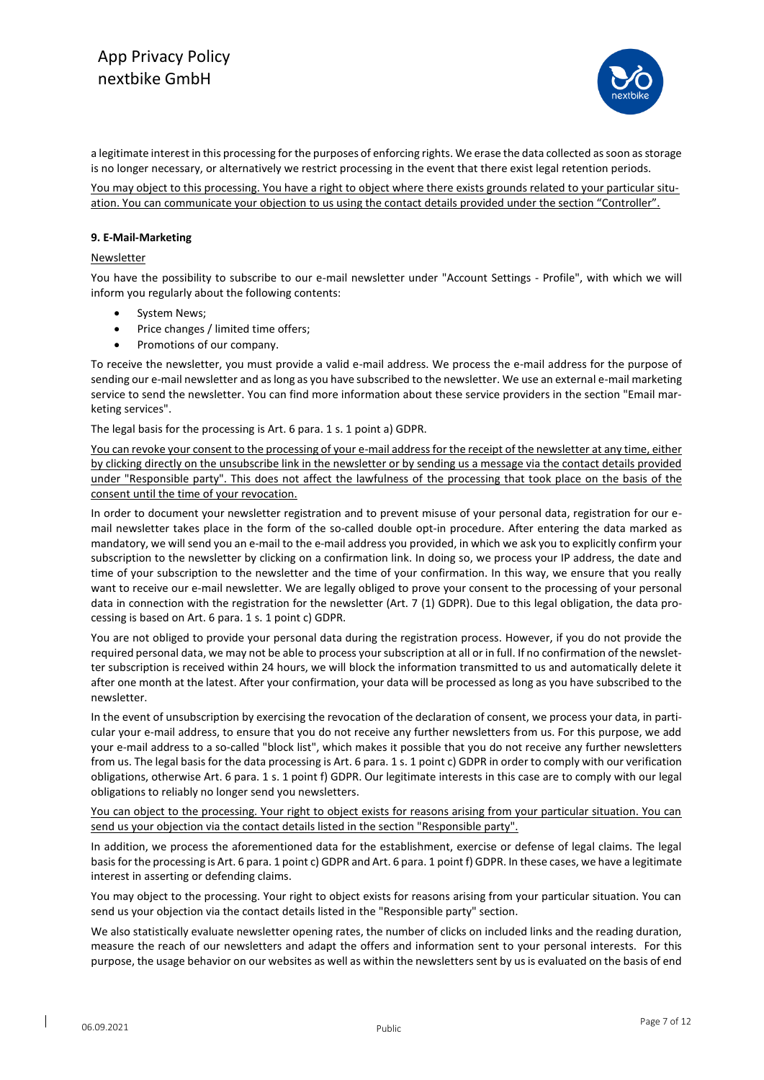

a legitimate interest in this processing for the purposes of enforcing rights. We erase the data collected as soon as storage is no longer necessary, or alternatively we restrict processing in the event that there exist legal retention periods.

You may object to this processing. You have a right to object where there exists grounds related to your particular situation. You can communicate your objection to us using the contact details provided under the section "Controller".

#### **9. E-Mail-Marketing**

#### **Newsletter**

You have the possibility to subscribe to our e-mail newsletter under "Account Settings - Profile", with which we will inform you regularly about the following contents:

- System News;
- Price changes / limited time offers;
- Promotions of our company.

To receive the newsletter, you must provide a valid e-mail address. We process the e-mail address for the purpose of sending our e-mail newsletter and as long as you have subscribed to the newsletter. We use an external e-mail marketing service to send the newsletter. You can find more information about these service providers in the section "Email marketing services".

The legal basis for the processing is Art. 6 para. 1 s. 1 point a) GDPR.

You can revoke your consent to the processing of your e-mail address for the receipt of the newsletter at any time, either by clicking directly on the unsubscribe link in the newsletter or by sending us a message via the contact details provided under "Responsible party". This does not affect the lawfulness of the processing that took place on the basis of the consent until the time of your revocation.

In order to document your newsletter registration and to prevent misuse of your personal data, registration for our email newsletter takes place in the form of the so-called double opt-in procedure. After entering the data marked as mandatory, we will send you an e-mail to the e-mail address you provided, in which we ask you to explicitly confirm your subscription to the newsletter by clicking on a confirmation link. In doing so, we process your IP address, the date and time of your subscription to the newsletter and the time of your confirmation. In this way, we ensure that you really want to receive our e-mail newsletter. We are legally obliged to prove your consent to the processing of your personal data in connection with the registration for the newsletter (Art. 7 (1) GDPR). Due to this legal obligation, the data processing is based on Art. 6 para. 1 s. 1 point c) GDPR.

You are not obliged to provide your personal data during the registration process. However, if you do not provide the required personal data, we may not be able to process your subscription at all or in full. If no confirmation of the newsletter subscription is received within 24 hours, we will block the information transmitted to us and automatically delete it after one month at the latest. After your confirmation, your data will be processed as long as you have subscribed to the newsletter.

In the event of unsubscription by exercising the revocation of the declaration of consent, we process your data, in particular your e-mail address, to ensure that you do not receive any further newsletters from us. For this purpose, we add your e-mail address to a so-called "block list", which makes it possible that you do not receive any further newsletters from us. The legal basis for the data processing is Art. 6 para. 1 s. 1 point c) GDPR in order to comply with our verification obligations, otherwise Art. 6 para. 1 s. 1 point f) GDPR. Our legitimate interests in this case are to comply with our legal obligations to reliably no longer send you newsletters.

You can object to the processing. Your right to object exists for reasons arising from your particular situation. You can send us your objection via the contact details listed in the section "Responsible party".

In addition, we process the aforementioned data for the establishment, exercise or defense of legal claims. The legal basis for the processing is Art. 6 para. 1 point c) GDPR and Art. 6 para. 1 point f) GDPR. In these cases, we have a legitimate interest in asserting or defending claims.

You may object to the processing. Your right to object exists for reasons arising from your particular situation. You can send us your objection via the contact details listed in the "Responsible party" section.

We also statistically evaluate newsletter opening rates, the number of clicks on included links and the reading duration, measure the reach of our newsletters and adapt the offers and information sent to your personal interests. For this purpose, the usage behavior on our websites as well as within the newsletters sent by us is evaluated on the basis of end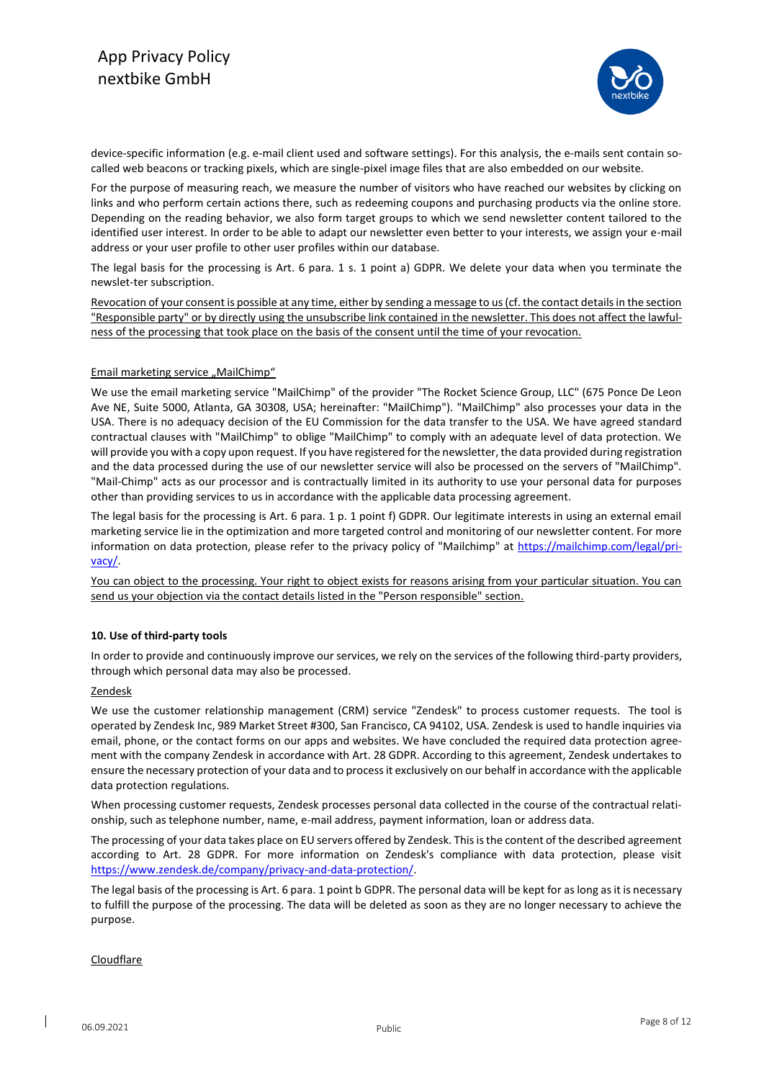

device-specific information (e.g. e-mail client used and software settings). For this analysis, the e-mails sent contain socalled web beacons or tracking pixels, which are single-pixel image files that are also embedded on our website.

For the purpose of measuring reach, we measure the number of visitors who have reached our websites by clicking on links and who perform certain actions there, such as redeeming coupons and purchasing products via the online store. Depending on the reading behavior, we also form target groups to which we send newsletter content tailored to the identified user interest. In order to be able to adapt our newsletter even better to your interests, we assign your e-mail address or your user profile to other user profiles within our database.

The legal basis for the processing is Art. 6 para. 1 s. 1 point a) GDPR. We delete your data when you terminate the newslet-ter subscription.

Revocation of your consent is possible at any time, either by sending a message to us (cf. the contact details in the section "Responsible party" or by directly using the unsubscribe link contained in the newsletter. This does not affect the lawfulness of the processing that took place on the basis of the consent until the time of your revocation.

# Email marketing service "MailChimp"

We use the email marketing service "MailChimp" of the provider "The Rocket Science Group, LLC" (675 Ponce De Leon Ave NE, Suite 5000, Atlanta, GA 30308, USA; hereinafter: "MailChimp"). "MailChimp" also processes your data in the USA. There is no adequacy decision of the EU Commission for the data transfer to the USA. We have agreed standard contractual clauses with "MailChimp" to oblige "MailChimp" to comply with an adequate level of data protection. We will provide you with a copy upon request. If you have registered for the newsletter, the data provided during registration and the data processed during the use of our newsletter service will also be processed on the servers of "MailChimp". "Mail-Chimp" acts as our processor and is contractually limited in its authority to use your personal data for purposes other than providing services to us in accordance with the applicable data processing agreement.

The legal basis for the processing is Art. 6 para. 1 p. 1 point f) GDPR. Our legitimate interests in using an external email marketing service lie in the optimization and more targeted control and monitoring of our newsletter content. For more information on data protection, please refer to the privacy policy of "Mailchimp" at [https://mailchimp.com/legal/pri](https://mailchimp.com/legal/privacy/)[vacy/.](https://mailchimp.com/legal/privacy/)

You can object to the processing. Your right to object exists for reasons arising from your particular situation. You can send us your objection via the contact details listed in the "Person responsible" section.

# **10. Use of third-party tools**

In order to provide and continuously improve our services, we rely on the services of the following third-party providers, through which personal data may also be processed.

#### Zendesk

We use the customer relationship management (CRM) service "Zendesk" to process customer requests. The tool is operated by Zendesk Inc, 989 Market Street #300, San Francisco, CA 94102, USA. Zendesk is used to handle inquiries via email, phone, or the contact forms on our apps and websites. We have concluded the required data protection agreement with the company Zendesk in accordance with Art. 28 GDPR. According to this agreement, Zendesk undertakes to ensure the necessary protection of your data and to process it exclusively on our behalf in accordance with the applicable data protection regulations.

When processing customer requests, Zendesk processes personal data collected in the course of the contractual relationship, such as telephone number, name, e-mail address, payment information, loan or address data.

The processing of your data takes place on EU servers offered by Zendesk. This is the content of the described agreement according to Art. 28 GDPR. For more information on Zendesk's compliance with data protection, please visit [https://www.zendesk.de/company/privacy-and-data-protection/.](https://www.zendesk.de/company/privacy-and-data-protection/)

The legal basis of the processing is Art. 6 para. 1 point b GDPR. The personal data will be kept for as long as it is necessary to fulfill the purpose of the processing. The data will be deleted as soon as they are no longer necessary to achieve the purpose.

#### **Cloudflare**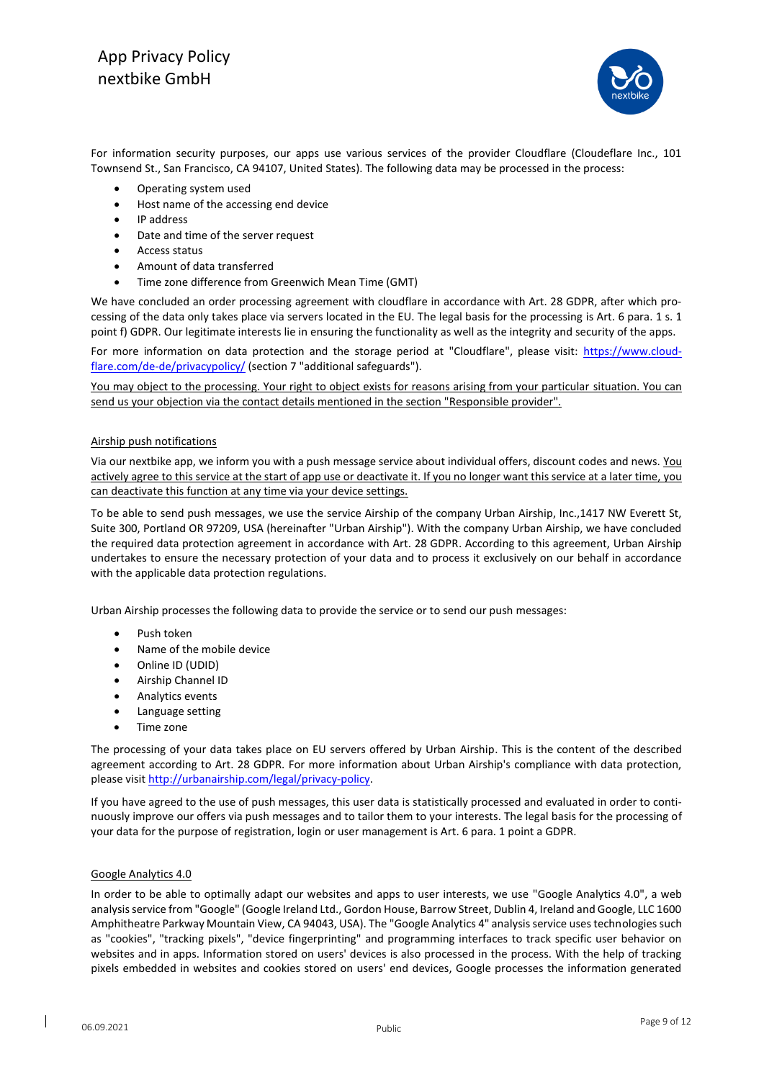

For information security purposes, our apps use various services of the provider Cloudflare (Cloudeflare Inc., 101 Townsend St., San Francisco, CA 94107, United States). The following data may be processed in the process:

- Operating system used
- Host name of the accessing end device
- IP address
- Date and time of the server request
- Access status
- Amount of data transferred
- Time zone difference from Greenwich Mean Time (GMT)

We have concluded an order processing agreement with cloudflare in accordance with Art. 28 GDPR, after which processing of the data only takes place via servers located in the EU. The legal basis for the processing is Art. 6 para. 1 s. 1 point f) GDPR. Our legitimate interests lie in ensuring the functionality as well as the integrity and security of the apps.

For more information on data protection and the storage period at "Cloudflare", please visit: [https://www.cloud](https://www.cloudflare.com/de-de/privacypolicy/)[flare.com/de-de/privacypolicy/](https://www.cloudflare.com/de-de/privacypolicy/) (section 7 "additional safeguards").

You may object to the processing. Your right to object exists for reasons arising from your particular situation. You can send us your objection via the contact details mentioned in the section "Responsible provider".

#### Airship push notifications

Via our nextbike app, we inform you with a push message service about individual offers, discount codes and news. You actively agree to this service at the start of app use or deactivate it. If you no longer want this service at a later time, you can deactivate this function at any time via your device settings.

To be able to send push messages, we use the service Airship of the company Urban Airship, Inc.,1417 NW Everett St, Suite 300, Portland OR 97209, USA (hereinafter "Urban Airship"). With the company Urban Airship, we have concluded the required data protection agreement in accordance with Art. 28 GDPR. According to this agreement, Urban Airship undertakes to ensure the necessary protection of your data and to process it exclusively on our behalf in accordance with the applicable data protection regulations.

Urban Airship processes the following data to provide the service or to send our push messages:

- Push token
- Name of the mobile device
- Online ID (UDID)
- Airship Channel ID
- Analytics events
- Language setting
- Time zone

The processing of your data takes place on EU servers offered by Urban Airship. This is the content of the described agreement according to Art. 28 GDPR. For more information about Urban Airship's compliance with data protection, please visi[t http://urbanairship.com/legal/privacy-policy.](http://urbanairship.com/legal/privacy-policy)

If you have agreed to the use of push messages, this user data is statistically processed and evaluated in order to continuously improve our offers via push messages and to tailor them to your interests. The legal basis for the processing of your data for the purpose of registration, login or user management is Art. 6 para. 1 point a GDPR.

#### Google Analytics 4.0

In order to be able to optimally adapt our websites and apps to user interests, we use "Google Analytics 4.0", a web analysis service from "Google" (Google Ireland Ltd., Gordon House, Barrow Street, Dublin 4, Ireland and Google, LLC 1600 Amphitheatre Parkway Mountain View, CA 94043, USA). The "Google Analytics 4" analysis service uses technologies such as "cookies", "tracking pixels", "device fingerprinting" and programming interfaces to track specific user behavior on websites and in apps. Information stored on users' devices is also processed in the process. With the help of tracking pixels embedded in websites and cookies stored on users' end devices, Google processes the information generated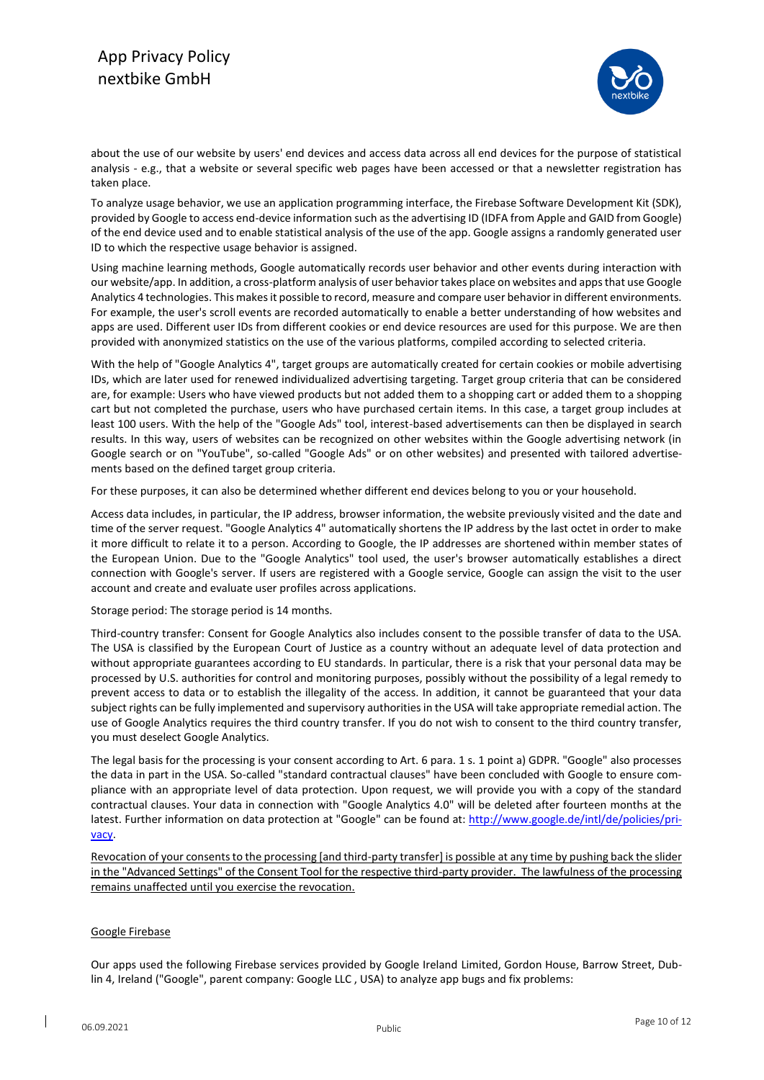

about the use of our website by users' end devices and access data across all end devices for the purpose of statistical analysis - e.g., that a website or several specific web pages have been accessed or that a newsletter registration has taken place.

To analyze usage behavior, we use an application programming interface, the Firebase Software Development Kit (SDK), provided by Google to access end-device information such as the advertising ID (IDFA from Apple and GAID from Google) of the end device used and to enable statistical analysis of the use of the app. Google assigns a randomly generated user ID to which the respective usage behavior is assigned.

Using machine learning methods, Google automatically records user behavior and other events during interaction with our website/app. In addition, a cross-platform analysis of user behavior takes place on websites and apps that use Google Analytics 4 technologies. This makes it possible to record, measure and compare user behavior in different environments. For example, the user's scroll events are recorded automatically to enable a better understanding of how websites and apps are used. Different user IDs from different cookies or end device resources are used for this purpose. We are then provided with anonymized statistics on the use of the various platforms, compiled according to selected criteria.

With the help of "Google Analytics 4", target groups are automatically created for certain cookies or mobile advertising IDs, which are later used for renewed individualized advertising targeting. Target group criteria that can be considered are, for example: Users who have viewed products but not added them to a shopping cart or added them to a shopping cart but not completed the purchase, users who have purchased certain items. In this case, a target group includes at least 100 users. With the help of the "Google Ads" tool, interest-based advertisements can then be displayed in search results. In this way, users of websites can be recognized on other websites within the Google advertising network (in Google search or on "YouTube", so-called "Google Ads" or on other websites) and presented with tailored advertisements based on the defined target group criteria.

For these purposes, it can also be determined whether different end devices belong to you or your household.

Access data includes, in particular, the IP address, browser information, the website previously visited and the date and time of the server request. "Google Analytics 4" automatically shortens the IP address by the last octet in order to make it more difficult to relate it to a person. According to Google, the IP addresses are shortened within member states of the European Union. Due to the "Google Analytics" tool used, the user's browser automatically establishes a direct connection with Google's server. If users are registered with a Google service, Google can assign the visit to the user account and create and evaluate user profiles across applications.

Storage period: The storage period is 14 months.

Third-country transfer: Consent for Google Analytics also includes consent to the possible transfer of data to the USA. The USA is classified by the European Court of Justice as a country without an adequate level of data protection and without appropriate guarantees according to EU standards. In particular, there is a risk that your personal data may be processed by U.S. authorities for control and monitoring purposes, possibly without the possibility of a legal remedy to prevent access to data or to establish the illegality of the access. In addition, it cannot be guaranteed that your data subject rights can be fully implemented and supervisory authorities in the USA will take appropriate remedial action. The use of Google Analytics requires the third country transfer. If you do not wish to consent to the third country transfer, you must deselect Google Analytics.

The legal basis for the processing is your consent according to Art. 6 para. 1 s. 1 point a) GDPR. "Google" also processes the data in part in the USA. So-called "standard contractual clauses" have been concluded with Google to ensure compliance with an appropriate level of data protection. Upon request, we will provide you with a copy of the standard contractual clauses. Your data in connection with "Google Analytics 4.0" will be deleted after fourteen months at the latest. Further information on data protection at "Google" can be found at[: http://www.google.de/intl/de/policies/pri](http://www.google.de/intl/de/policies/privacy)[vacy.](http://www.google.de/intl/de/policies/privacy)

Revocation of your consents to the processing [and third-party transfer] is possible at any time by pushing back the slider in the "Advanced Settings" of the Consent Tool for the respective third-party provider. The lawfulness of the processing remains unaffected until you exercise the revocation.

# Google Firebase

Our apps used the following Firebase services provided by Google Ireland Limited, Gordon House, Barrow Street, Dublin 4, Ireland ("Google", parent company: Google LLC , USA) to analyze app bugs and fix problems: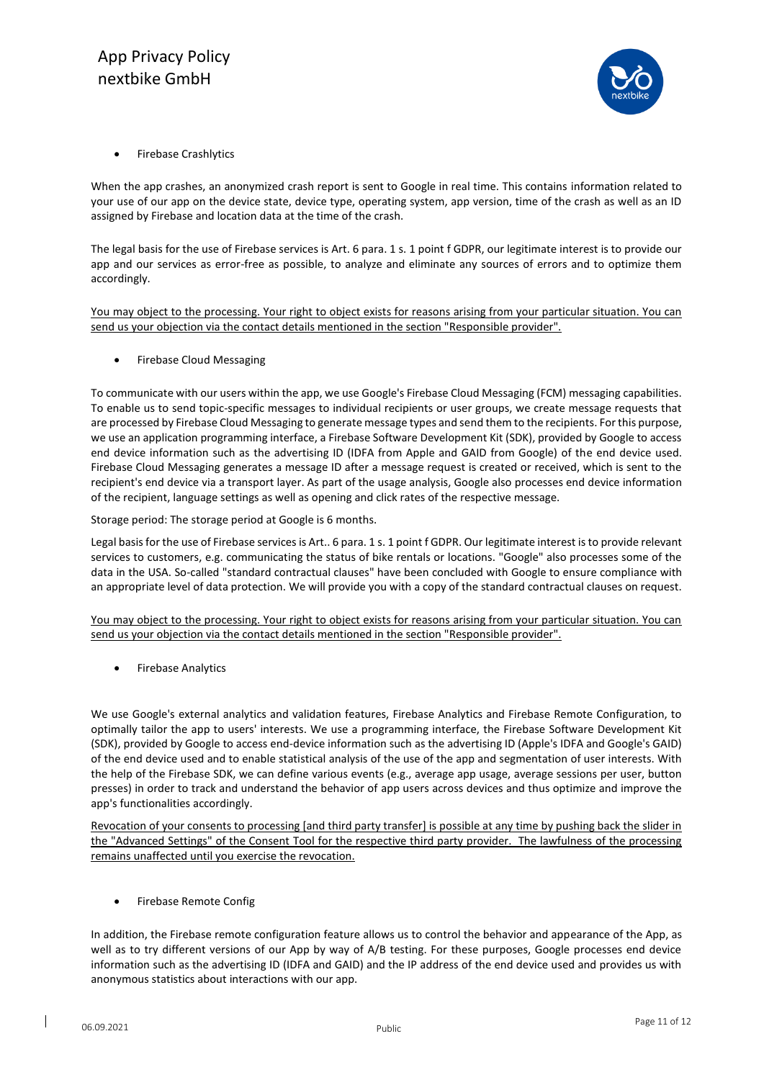

• Firebase Crashlytics

When the app crashes, an anonymized crash report is sent to Google in real time. This contains information related to your use of our app on the device state, device type, operating system, app version, time of the crash as well as an ID assigned by Firebase and location data at the time of the crash.

The legal basis for the use of Firebase services is Art. 6 para. 1 s. 1 point f GDPR, our legitimate interest is to provide our app and our services as error-free as possible, to analyze and eliminate any sources of errors and to optimize them accordingly.

You may object to the processing. Your right to object exists for reasons arising from your particular situation. You can send us your objection via the contact details mentioned in the section "Responsible provider".

• Firebase Cloud Messaging

To communicate with our users within the app, we use Google's Firebase Cloud Messaging (FCM) messaging capabilities. To enable us to send topic-specific messages to individual recipients or user groups, we create message requests that are processed by Firebase Cloud Messaging to generate message types and send them to the recipients. For this purpose, we use an application programming interface, a Firebase Software Development Kit (SDK), provided by Google to access end device information such as the advertising ID (IDFA from Apple and GAID from Google) of the end device used. Firebase Cloud Messaging generates a message ID after a message request is created or received, which is sent to the recipient's end device via a transport layer. As part of the usage analysis, Google also processes end device information of the recipient, language settings as well as opening and click rates of the respective message.

Storage period: The storage period at Google is 6 months.

Legal basis for the use of Firebase services is Art.. 6 para. 1 s. 1 point f GDPR. Our legitimate interest is to provide relevant services to customers, e.g. communicating the status of bike rentals or locations. "Google" also processes some of the data in the USA. So-called "standard contractual clauses" have been concluded with Google to ensure compliance with an appropriate level of data protection. We will provide you with a copy of the standard contractual clauses on request.

You may object to the processing. Your right to object exists for reasons arising from your particular situation. You can send us your objection via the contact details mentioned in the section "Responsible provider".

• Firebase Analytics

We use Google's external analytics and validation features, Firebase Analytics and Firebase Remote Configuration, to optimally tailor the app to users' interests. We use a programming interface, the Firebase Software Development Kit (SDK), provided by Google to access end-device information such as the advertising ID (Apple's IDFA and Google's GAID) of the end device used and to enable statistical analysis of the use of the app and segmentation of user interests. With the help of the Firebase SDK, we can define various events (e.g., average app usage, average sessions per user, button presses) in order to track and understand the behavior of app users across devices and thus optimize and improve the app's functionalities accordingly.

Revocation of your consents to processing [and third party transfer] is possible at any time by pushing back the slider in the "Advanced Settings" of the Consent Tool for the respective third party provider. The lawfulness of the processing remains unaffected until you exercise the revocation.

• Firebase Remote Config

In addition, the Firebase remote configuration feature allows us to control the behavior and appearance of the App, as well as to try different versions of our App by way of A/B testing. For these purposes, Google processes end device information such as the advertising ID (IDFA and GAID) and the IP address of the end device used and provides us with anonymous statistics about interactions with our app.